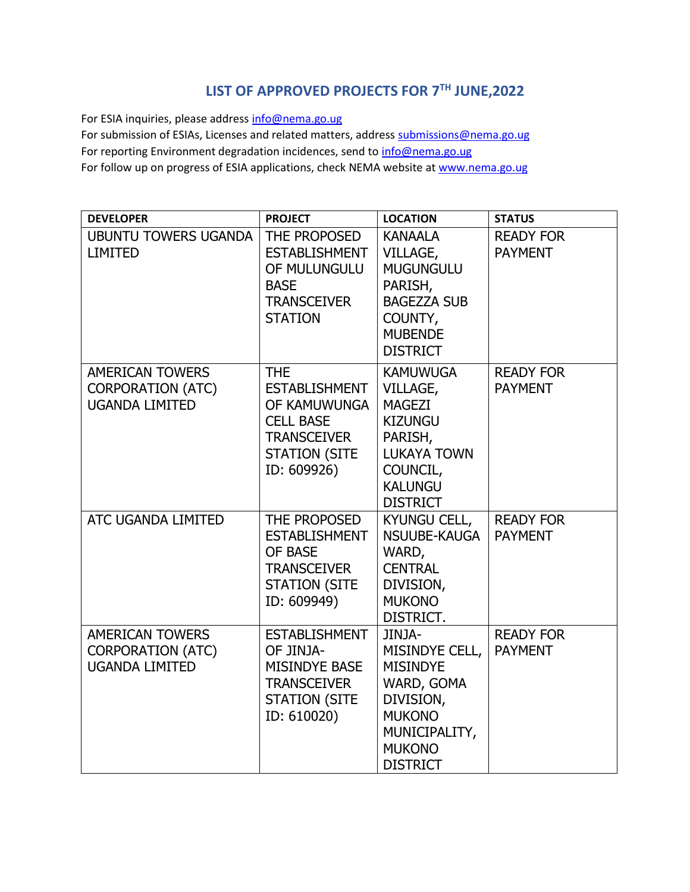## **LIST OF APPROVED PROJECTS FOR 7TH JUNE,2022**

For ESIA inquiries, please addres[s info@nema.go.ug](mailto:info@nema.go.ug)

For submission of ESIAs, Licenses and related matters, address [submissions@nema.go.ug](mailto:submissions@nema.go.ug) For reporting Environment degradation incidences, send t[o info@nema.go.ug](mailto:info@nema.go.ug) For follow up on progress of ESIA applications, check NEMA website at [www.nema.go.ug](http://www.nema.go.ug/)

| <b>DEVELOPER</b>                                                            | <b>PROJECT</b>                                                                                                                      | <b>LOCATION</b>                                                                                                                                  | <b>STATUS</b>                      |
|-----------------------------------------------------------------------------|-------------------------------------------------------------------------------------------------------------------------------------|--------------------------------------------------------------------------------------------------------------------------------------------------|------------------------------------|
| <b>UBUNTU TOWERS UGANDA</b><br><b>LIMITED</b>                               | THE PROPOSED<br><b>ESTABLISHMENT</b><br>OF MULUNGULU<br><b>BASE</b><br><b>TRANSCEIVER</b><br><b>STATION</b>                         | <b>KANAALA</b><br>VILLAGE,<br><b>MUGUNGULU</b><br>PARISH,<br><b>BAGEZZA SUB</b><br>COUNTY,<br><b>MUBENDE</b><br><b>DISTRICT</b>                  | <b>READY FOR</b><br><b>PAYMENT</b> |
| <b>AMERICAN TOWERS</b><br><b>CORPORATION (ATC)</b><br><b>UGANDA LIMITED</b> | <b>THE</b><br><b>ESTABLISHMENT</b><br>OF KAMUWUNGA<br><b>CELL BASE</b><br><b>TRANSCEIVER</b><br><b>STATION (SITE</b><br>ID: 609926) | <b>KAMUWUGA</b><br>VILLAGE,<br><b>MAGEZI</b><br><b>KIZUNGU</b><br>PARISH,<br><b>LUKAYA TOWN</b><br>COUNCIL,<br><b>KALUNGU</b><br><b>DISTRICT</b> | <b>READY FOR</b><br><b>PAYMENT</b> |
| ATC UGANDA LIMITED                                                          | THE PROPOSED<br><b>ESTABLISHMENT</b><br>OF BASE<br><b>TRANSCEIVER</b><br><b>STATION (SITE</b><br>ID: 609949)                        | <b>KYUNGU CELL,</b><br>NSUUBE-KAUGA<br>WARD,<br><b>CENTRAL</b><br>DIVISION,<br><b>MUKONO</b><br>DISTRICT.                                        | <b>READY FOR</b><br><b>PAYMENT</b> |
| <b>AMERICAN TOWERS</b><br><b>CORPORATION (ATC)</b><br><b>UGANDA LIMITED</b> | <b>ESTABLISHMENT</b><br>OF JINJA-<br><b>MISINDYE BASE</b><br><b>TRANSCEIVER</b><br><b>STATION (SITE</b><br>ID: 610020)              | JINJA-<br>MISINDYE CELL,<br><b>MISINDYE</b><br>WARD, GOMA<br>DIVISION,<br><b>MUKONO</b><br>MUNICIPALITY,<br><b>MUKONO</b><br><b>DISTRICT</b>     | <b>READY FOR</b><br><b>PAYMENT</b> |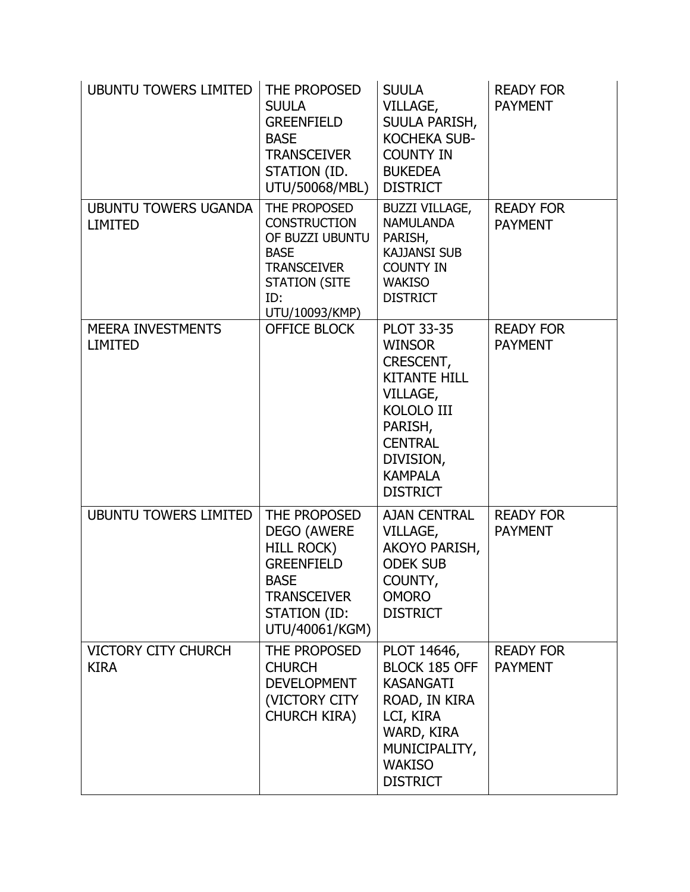| <b>UBUNTU TOWERS LIMITED</b>                  | THE PROPOSED<br><b>SUULA</b><br><b>GREENFIELD</b><br><b>BASE</b><br><b>TRANSCEIVER</b><br>STATION (ID.<br>UTU/50068/MBL)                            | <b>SUULA</b><br>VILLAGE,<br>SUULA PARISH,<br><b>KOCHEKA SUB-</b><br><b>COUNTY IN</b><br><b>BUKEDEA</b><br><b>DISTRICT</b>                                                              | <b>READY FOR</b><br><b>PAYMENT</b> |
|-----------------------------------------------|-----------------------------------------------------------------------------------------------------------------------------------------------------|----------------------------------------------------------------------------------------------------------------------------------------------------------------------------------------|------------------------------------|
| <b>UBUNTU TOWERS UGANDA</b><br><b>LIMITED</b> | THE PROPOSED<br><b>CONSTRUCTION</b><br>OF BUZZI UBUNTU<br><b>BASE</b><br><b>TRANSCEIVER</b><br><b>STATION (SITE</b><br>ID:<br>UTU/10093/KMP)        | <b>BUZZI VILLAGE,</b><br><b>NAMULANDA</b><br>PARISH,<br><b>KAJJANSI SUB</b><br><b>COUNTY IN</b><br><b>WAKISO</b><br><b>DISTRICT</b>                                                    | <b>READY FOR</b><br><b>PAYMENT</b> |
| <b>MEERA INVESTMENTS</b><br><b>LIMITED</b>    | <b>OFFICE BLOCK</b>                                                                                                                                 | <b>PLOT 33-35</b><br><b>WINSOR</b><br>CRESCENT,<br><b>KITANTE HILL</b><br>VILLAGE,<br><b>KOLOLO III</b><br>PARISH,<br><b>CENTRAL</b><br>DIVISION,<br><b>KAMPALA</b><br><b>DISTRICT</b> | <b>READY FOR</b><br><b>PAYMENT</b> |
| <b>UBUNTU TOWERS LIMITED</b>                  | THE PROPOSED<br><b>DEGO (AWERE</b><br><b>HILL ROCK)</b><br><b>GREENFIELD</b><br><b>BASE</b><br><b>TRANSCEIVER</b><br>STATION (ID:<br>UTU/40061/KGM) | <b>AJAN CENTRAL</b><br>VILLAGE,<br>AKOYO PARISH,<br><b>ODEK SUB</b><br>COUNTY,<br><b>OMORO</b><br><b>DISTRICT</b>                                                                      | <b>READY FOR</b><br><b>PAYMENT</b> |
| <b>VICTORY CITY CHURCH</b><br><b>KIRA</b>     | THE PROPOSED<br><b>CHURCH</b><br><b>DEVELOPMENT</b><br>(VICTORY CITY)<br><b>CHURCH KIRA)</b>                                                        | PLOT 14646,<br>BLOCK 185 OFF<br><b>KASANGATI</b><br>ROAD, IN KIRA<br>LCI, KIRA<br>WARD, KIRA<br>MUNICIPALITY,<br><b>WAKISO</b><br><b>DISTRICT</b>                                      | <b>READY FOR</b><br><b>PAYMENT</b> |